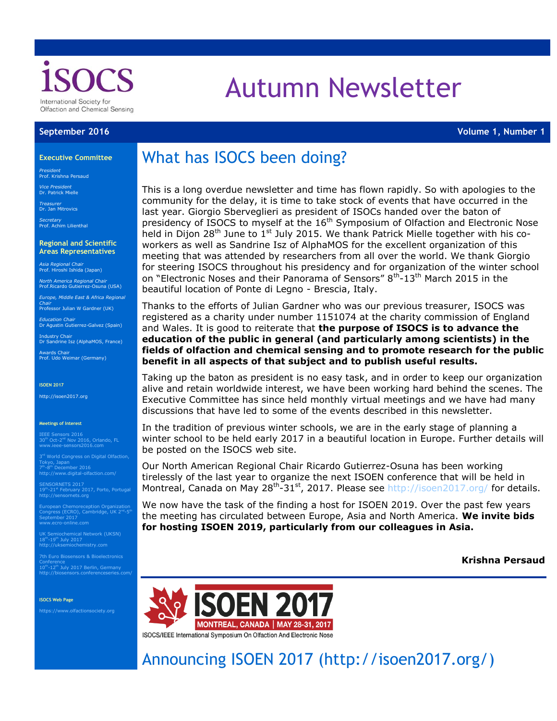

# Autumn Newsletter

**September 2016 Volume 1, Number 1**

#### **Executive Committee**

*President* Prof. Krishna Persaud

*Vice President* Dr. Patrick Mielle

*Treasurer* Dr. Jan Mitrovics *Secretary* Prof. Achim Lilienthal

**Regional and Scientific Areas Representatives** 

*Asia Regional Chair* Prof. Hiroshi Ishida (Japan)

*North America Regional Chair* Prof.Ricardo Gutierrez-Osuna (USA)

*Europe, Middle East & Africa Regional Chair* Professor Julian W Gardner (UK)

*Education Chair* Dr Agustin Gutierrez-Galvez (Spain)

Industry Chair<br>Dr Sandrine Isz (AlphaMOS, France)

Awards Chair Prof. Udo Weimar (Germany)

#### **ISOEN 2017**

http://isoen2017.org

#### **Meetings of Interest**

IEEE Sensors 2016<br>30<sup>th</sup> Oct-2<sup>nd</sup> Nov 2016, Orlando, FL<br>[www.ieee-sensors2016.com](http://www.ieee-sensors2016.com/)

3<sup>rd</sup> World Congress on Digital Olfaction, Tokyo, Japan<br>7<sup>th</sup>-8<sup>th</sup> December 2016<br><http://www.digital-olfaction.com/>

SENSORNETS 2017<br>19<sup>th</sup>-21<sup>st</sup> February 2017, Porto, Portugal<br>http://sensornets.org

European Chemoreception Organization<br>Congress (ECRO), Cambridge, UK 2<sup>nd</sup>-5<sup>th</sup><br>September 2017<br>[www.ecro-online.com](http://www.ecro-online.com/)

UK Semiochemical Network (UKSN) 18<sup>th</sup>-19<sup>th</sup> July 2017<br>[http://uksemiochemistry.com](http://uksemiochemistry.com/)

7th Euro Biosensors & Bioelectronics Conference<br>10<sup>th</sup>-12<sup>th</sup> July 2017 Berlin, Germany http://biosensors.conferenceseries.com/

**ISOCS Web Page**

https://www.olfactionsociety.org

## What has ISOCS been doing?

This is a long overdue newsletter and time has flown rapidly. So with apologies to the community for the delay, it is time to take stock of events that have occurred in the last year. Giorgio Sberveglieri as president of ISOCs handed over the baton of presidency of ISOCS to myself at the  $16<sup>th</sup>$  Symposium of Olfaction and Electronic Nose held in Dijon 28<sup>th</sup> June to 1<sup>st</sup> July 2015. We thank Patrick Mielle together with his coworkers as well as Sandrine Isz of AlphaMOS for the excellent organization of this meeting that was attended by researchers from all over the world. We thank Giorgio for steering ISOCS throughout his presidency and for organization of the winter school on "Electronic Noses and their Panorama of Sensors" 8<sup>th</sup>-13<sup>th</sup> March 2015 in the beautiful location of Ponte di Legno - Brescia, Italy.

Thanks to the efforts of Julian Gardner who was our previous treasurer, ISOCS was registered as a charity under number 1151074 at the charity commission of England and Wales. It is good to reiterate that **the purpose of ISOCS is to advance the education of the public in general (and particularly among scientists) in the fields of olfaction and chemical sensing and to promote research for the public benefit in all aspects of that subject and to publish useful results.**

Taking up the baton as president is no easy task, and in order to keep our organization alive and retain worldwide interest, we have been working hard behind the scenes. The Executive Committee has since held monthly virtual meetings and we have had many discussions that have led to some of the events described in this newsletter.

In the tradition of previous winter schools, we are in the early stage of planning a winter school to be held early 2017 in a beautiful location in Europe. Further details will be posted on the ISOCS web site.

Our North American Regional Chair Ricardo Gutierrez-Osuna has been working tirelessly of the last year to organize the next ISOEN conference that will be held in Montreal, Canada on May 28<sup>th</sup>-31<sup>st</sup>, 2017. Please see<http://isoen2017.org/> for details.

We now have the task of the finding a host for ISOEN 2019. Over the past few years the meeting has circulated between Europe, Asia and North America. **We invite bids for hosting ISOEN 2019, particularly from our colleagues in Asia.**

**Krishna Persaud**



Announcing ISOEN 2017 (http://isoen2017.org/)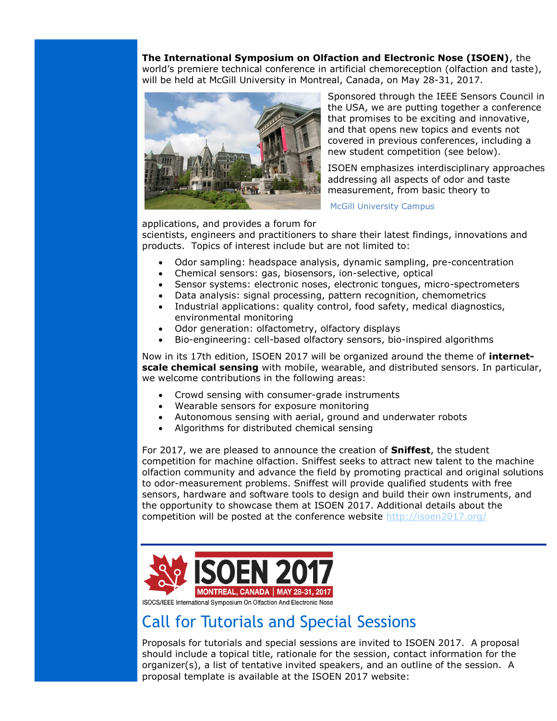**The International Symposium on Olfaction and Electronic Nose (ISOEN)**, the

world's premiere technical conference in artificial chemoreception (olfaction and taste), will be held at McGill University in Montreal, Canada, on May 28-31, 2017.



Sponsored through the IEEE Sensors Council in the USA, we are putting together a conference that promises to be exciting and innovative, and that opens new topics and events not covered in previous conferences, including a new student competition (see below).

ISOEN emphasizes interdisciplinary approaches addressing all aspects of odor and taste measurement, from basic theory to

McGill University Campus

applications, and provides a forum for

scientists, engineers and practitioners to share their latest findings, innovations and products. Topics of interest include but are not limited to:

- Odor sampling: headspace analysis, dynamic sampling, pre-concentration<br>• Chemical sensors: gas, biosensors, ion-selective, ontical
- Chemical sensors: gas, biosensors, ion-selective, optical
- Sensor systems: electronic noses, electronic tongues, micro-spectrometers
- Data analysis: signal processing, pattern recognition, chemometrics
- Industrial applications: quality control, food safety, medical diagnostics, environmental monitoring
- Odor generation: olfactometry, olfactory displays
- Bio-engineering: cell-based olfactory sensors, bio-inspired algorithms

Now in its 17th edition, ISOEN 2017 will be organized around the theme of **internetscale chemical sensing** with mobile, wearable, and distributed sensors. In particular, we welcome contributions in the following areas:

- Crowd sensing with consumer-grade instruments
- Wearable sensors for exposure monitoring
- Autonomous sensing with aerial, ground and underwater robots
- Algorithms for distributed chemical sensing

For 2017, we are pleased to announce the creation of **Sniffest**, the student competition for machine olfaction. Sniffest seeks to attract new talent to the machine olfaction community and advance the field by promoting practical and original solutions to odor-measurement problems. Sniffest will provide qualified students with free sensors, hardware and software tools to design and build their own instruments, and the opportunity to showcase them at ISOEN 2017. Additional details about the competition will be posted at the conference website<http://isoen2017.org/>



ISOCS/IEEE International Symposium On Olfaction And Electronic Nose

### Call for Tutorials and Special Sessions

Proposals for tutorials and special sessions are invited to ISOEN 2017. A proposal should include a topical title, rationale for the session, contact information for the organizer(s), a list of tentative invited speakers, and an outline of the session. A proposal template is available at the ISOEN 2017 website: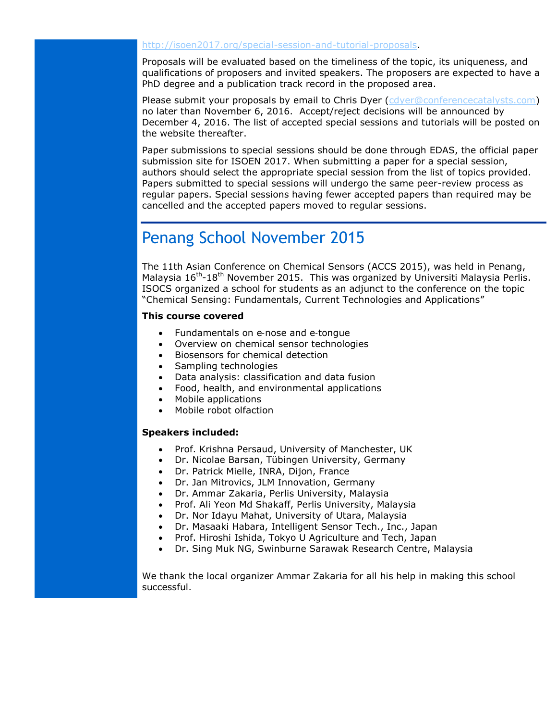#### [http://isoen2017.org/special-session-and-tutorial-proposals.](http://isoen2017.org/special-session-and-tutorial-proposals)

Proposals will be evaluated based on the timeliness of the topic, its uniqueness, and qualifications of proposers and invited speakers. The proposers are expected to have a PhD degree and a publication track record in the proposed area.

Please submit your proposals by email to Chris Dyer [\(cdyer@conferencecatalysts.com\)](mailto:cdyer@conferencecatalysts.com) no later than November 6, 2016. Accept/reject decisions will be announced by December 4, 2016. The list of accepted special sessions and tutorials will be posted on the website thereafter.

Paper submissions to special sessions should be done through EDAS, the official paper submission site for ISOEN 2017. When submitting a paper for a special session, authors should select the appropriate special session from the list of topics provided. Papers submitted to special sessions will undergo the same peer-review process as regular papers. Special sessions having fewer accepted papers than required may be cancelled and the accepted papers moved to regular sessions.

### Penang School November 2015

The 11th Asian Conference on Chemical Sensors (ACCS 2015), was held in Penang, Malaysia  $16^{th}$ -18<sup>th</sup> November 2015. This was organized by Universiti Malaysia Perlis. ISOCS organized a school for students as an adjunct to the conference on the topic "Chemical Sensing: Fundamentals, Current Technologies and Applications"

### **This course covered**

- Fundamentals on e-nose and e-tonque
- Overview on chemical sensor technologies
- Biosensors for chemical detection
- Sampling technologies
- Data analysis: classification and data fusion
- Food, health, and environmental applications
- Mobile applications
- Mobile robot olfaction

#### **Speakers included:**

- Prof. Krishna Persaud, University of Manchester, UK
- Dr. Nicolae Barsan, Tübingen University, Germany
- Dr. Patrick Mielle, INRA, Dijon, France
- Dr. Jan Mitrovics, JLM Innovation, Germany
- Dr. Ammar Zakaria, Perlis University, Malaysia
- Prof. Ali Yeon Md Shakaff, Perlis University, Malaysia
- Dr. Nor Idayu Mahat, University of Utara, Malaysia
- Dr. Masaaki Habara, Intelligent Sensor Tech., Inc., Japan
- Prof. Hiroshi Ishida, Tokyo U Agriculture and Tech, Japan
- Dr. Sing Muk NG, Swinburne Sarawak Research Centre, Malaysia

We thank the local organizer Ammar Zakaria for all his help in making this school successful.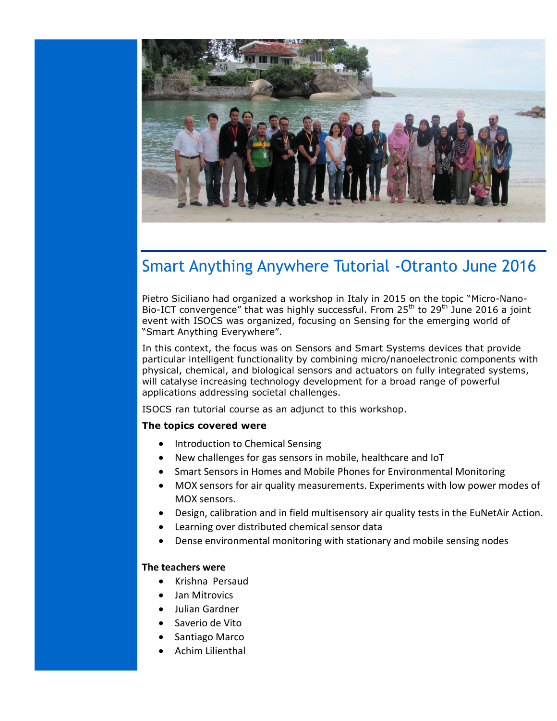

### Smart Anything Anywhere Tutorial -Otranto June 2016

Pietro Siciliano had organized a workshop in Italy in 2015 on the topic "Micro-Nano-Bio-ICT convergence" that was highly successful. From  $25<sup>th</sup>$  to  $29<sup>th</sup>$  June 2016 a joint event with ISOCS was organized, focusing on Sensing for the emerging world of "Smart Anything Everywhere".

In this context, the focus was on Sensors and Smart Systems devices that provide particular intelligent functionality by combining micro/nanoelectronic components with physical, chemical, and biological sensors and actuators on fully integrated systems, will catalyse increasing technology development for a broad range of powerful applications addressing societal challenges.

ISOCS ran tutorial course as an adjunct to this workshop.

#### **The topics covered were**

- Introduction to Chemical Sensing
- New challenges for gas sensors in mobile, healthcare and IoT
- Smart Sensors in Homes and Mobile Phones for Environmental Monitoring
- MOX sensors for air quality measurements. Experiments with low power modes of MOX sensors.
- Design, calibration and in field multisensory air quality tests in the EuNetAir Action.
- Learning over distributed chemical sensor data
- Dense environmental monitoring with stationary and mobile sensing nodes

### **The teachers were**

- Krishna Persaud
- Jan Mitrovics
- $\bullet$  Julian Gardner
- Saverio de Vito
- Santiago Marco
- Achim Lilienthal